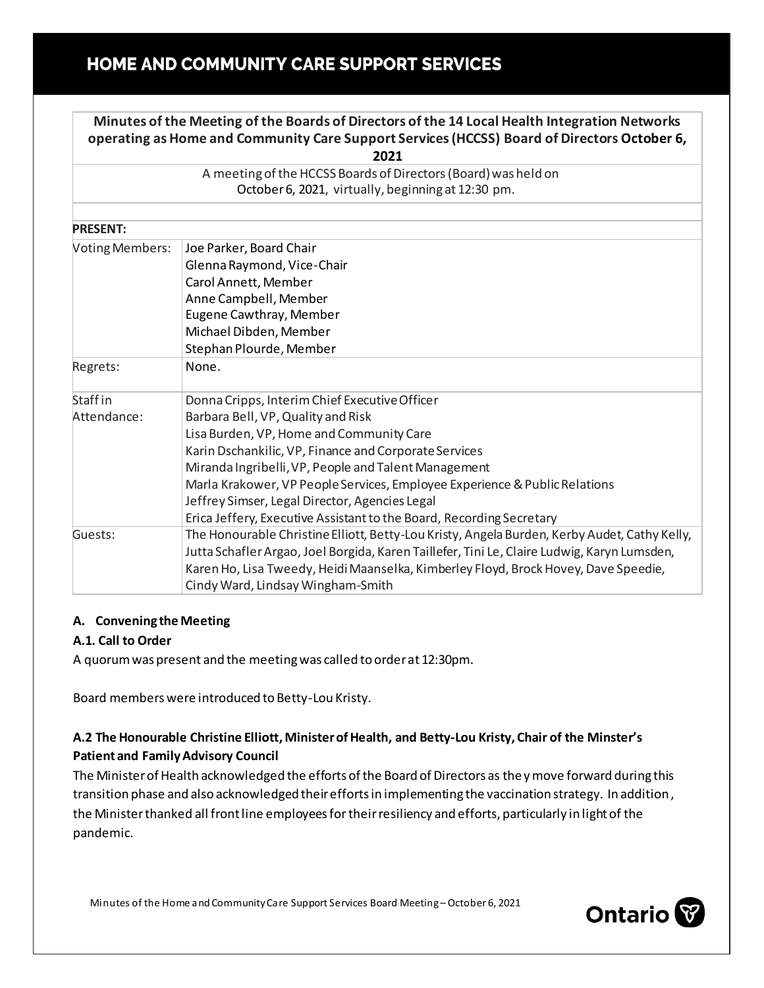# HOME AND COMMUNITY CARE SUPPORT SERVICES

| Minutes of the Meeting of the Boards of Directors of the 14 Local Health Integration Networks<br>operating as Home and Community Care Support Services (HCCSS) Board of Directors October 6,<br>2021 |                                                                                              |
|------------------------------------------------------------------------------------------------------------------------------------------------------------------------------------------------------|----------------------------------------------------------------------------------------------|
| A meeting of the HCCSS Boards of Directors (Board) was held on                                                                                                                                       |                                                                                              |
| October 6, 2021, virtually, beginning at 12:30 pm.                                                                                                                                                   |                                                                                              |
| <b>PRESENT:</b>                                                                                                                                                                                      |                                                                                              |
| <b>Voting Members:</b>                                                                                                                                                                               | Joe Parker, Board Chair                                                                      |
|                                                                                                                                                                                                      | Glenna Raymond, Vice-Chair                                                                   |
|                                                                                                                                                                                                      | Carol Annett, Member                                                                         |
|                                                                                                                                                                                                      | Anne Campbell, Member                                                                        |
|                                                                                                                                                                                                      | Eugene Cawthray, Member                                                                      |
|                                                                                                                                                                                                      | Michael Dibden, Member                                                                       |
|                                                                                                                                                                                                      | Stephan Plourde, Member                                                                      |
| Regrets:                                                                                                                                                                                             | None.                                                                                        |
| Staff in                                                                                                                                                                                             | Donna Cripps, Interim Chief Executive Officer                                                |
| Attendance:                                                                                                                                                                                          | Barbara Bell, VP, Quality and Risk                                                           |
|                                                                                                                                                                                                      | Lisa Burden, VP, Home and Community Care                                                     |
|                                                                                                                                                                                                      | Karin Dschankilic, VP, Finance and Corporate Services                                        |
|                                                                                                                                                                                                      | Miranda Ingribelli, VP, People and Talent Management                                         |
|                                                                                                                                                                                                      | Marla Krakower, VP People Services, Employee Experience & Public Relations                   |
|                                                                                                                                                                                                      | Jeffrey Simser, Legal Director, Agencies Legal                                               |
|                                                                                                                                                                                                      | Erica Jeffery, Executive Assistant to the Board, Recording Secretary                         |
| Guests:                                                                                                                                                                                              | The Honourable Christine Elliott, Betty-Lou Kristy, Angela Burden, Kerby Audet, Cathy Kelly, |
|                                                                                                                                                                                                      | Jutta Schafler Argao, Joel Borgida, Karen Taillefer, Tini Le, Claire Ludwig, Karyn Lumsden,  |
|                                                                                                                                                                                                      | Karen Ho, Lisa Tweedy, Heidi Maanselka, Kimberley Floyd, Brock Hovey, Dave Speedie,          |
|                                                                                                                                                                                                      | Cindy Ward, Lindsay Wingham-Smith                                                            |

## **A. Convening the Meeting**

#### **A.1. Call to Order**

A quorum was present and the meeting was called to order at 12:30pm.

Board members were introduced to Betty-Lou Kristy.

## **A.2 The Honourable Christine Elliott, Minister of Health, and Betty-Lou Kristy, Chair of the Minster's Patient and Family Advisory Council**

The Minister of Health acknowledged the efforts of the Board of Directors as theymove forward during this transition phase and also acknowledged their efforts in implementing the vaccination strategy. In addition, the Minister thanked all front line employees for their resiliency and efforts, particularly in light of the pandemic.

Minutes of the Home and Community Care Support Services Board Meeting – October 6, 2021

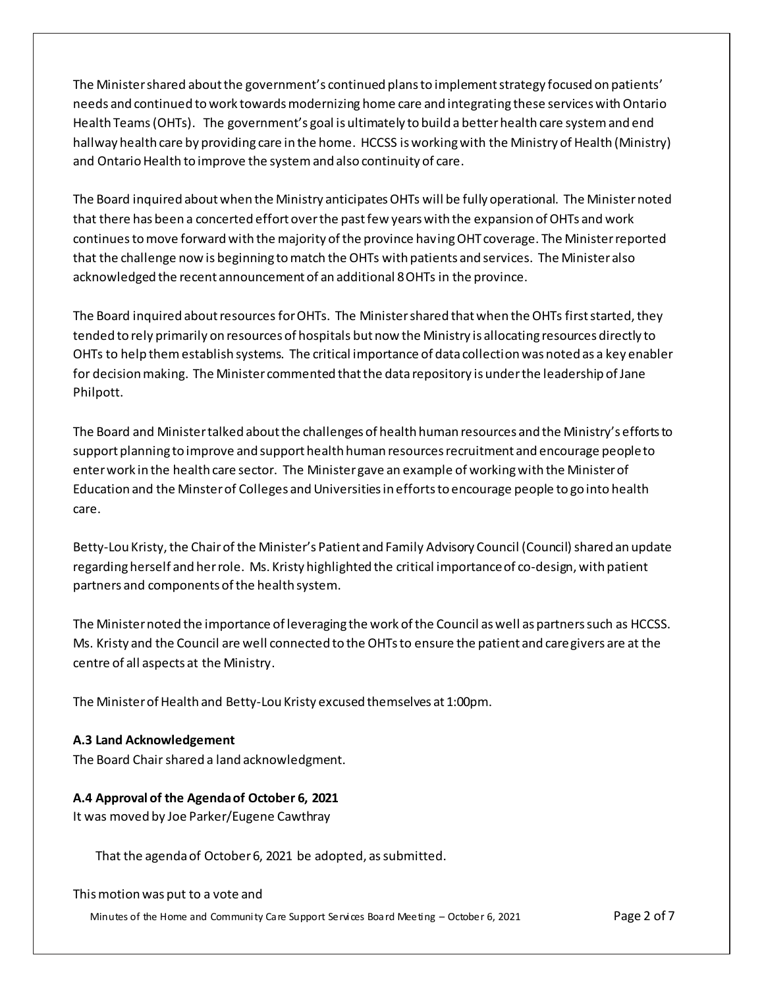The Minister shared about the government's continued plans to implement strategy focused on patients' needs and continued to work towards modernizing home care and integrating these services with Ontario Health Teams(OHTs). The government's goal is ultimately to build a better health care system and end hallway health care by providing care in the home. HCCSS is working with the Ministry of Health (Ministry) and Ontario Health to improve the system and also continuity of care.

The Board inquired about when the Ministry anticipates OHTs will be fully operational. The Minister noted that there has been a concerted effort over the past few years with the expansion of OHTs and work continues to move forward with the majority of the province having OHT coverage. The Minister reported that the challenge now is beginning to match the OHTs with patients and services. The Minister also acknowledged the recent announcement of an additional 8 OHTs in the province.

The Board inquired about resources for OHTs. The Minister shared that when the OHTs first started, they tended to rely primarily on resources of hospitals but now the Ministry is allocating resources directly to OHTs to help themestablish systems. The critical importance of data collection was noted as a key enabler for decision making. The Minister commented that the data repository is under the leadership of Jane Philpott.

The Board and Minister talked about the challenges of health human resources and the Ministry's efforts to support planning to improve and support health human resources recruitment and encourage people to enter work in the health care sector. The Minister gave an example of working with the Minister of Education and the Minster of Colleges and Universities in efforts to encourage people to go into health care.

Betty-Lou Kristy, the Chair of the Minister's Patient and Family Advisory Council (Council) shared an update regarding herself and her role. Ms. Kristy highlighted the critical importance of co-design, with patient partners and components of the health system.

The Minister noted the importance of leveraging the work of the Council as well as partners such as HCCSS. Ms. Kristy and the Council are well connected to the OHTs to ensure the patient and caregivers are at the centre of all aspects at the Ministry.

The Minister of Health and Betty-Lou Kristy excused themselves at 1:00pm.

#### **A.3 Land Acknowledgement**

The Board Chair shared a land acknowledgment.

#### **A.4 Approval of the Agenda of October 6, 2021**

It was moved by Joe Parker/Eugene Cawthray

That the agenda of October 6, 2021 be adopted, as submitted.

#### This motion was put to a vote and

Minutes of the Home and Community Care Support Services Board Meeting – October 6, 2021 Page 2 of 7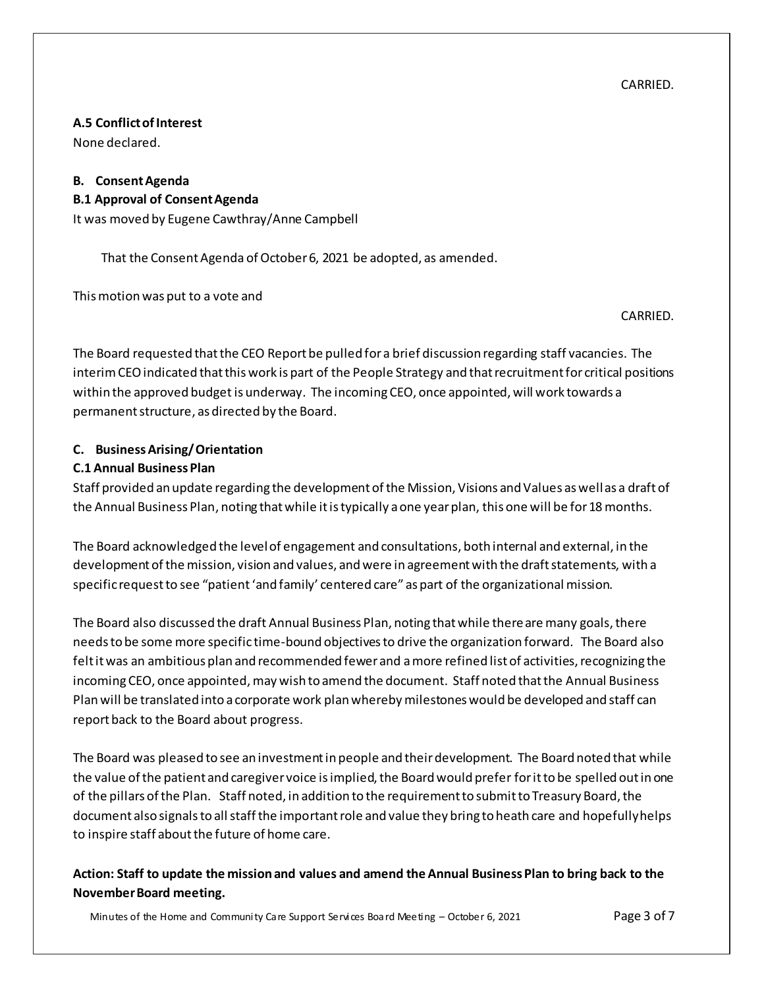CARRIED.

## **A.5 Conflict of Interest**

None declared.

# **B. Consent Agenda**

#### **B.1 Approval of Consent Agenda**

It was moved by Eugene Cawthray/Anne Campbell

That the Consent Agenda of October 6, 2021 be adopted, as amended.

This motion was put to a vote and

CARRIED.

The Board requested that the CEO Report be pulled for a brief discussion regarding staff vacancies. The interim CEO indicated that this work is part of the People Strategy and that recruitment for critical positions within the approved budget is underway. The incoming CEO, once appointed, will work towards a permanent structure, as directed by the Board.

## **C. Business Arising/ Orientation**

#### **C.1 Annual Business Plan**

Staff provided an update regarding the development of the Mission, Visions and Values as well as a draft of the Annual Business Plan, noting that while it is typically a one year plan, this one will be for 18 months.

The Board acknowledged the level of engagement and consultations, both internal and external, in the development of the mission, vision and values, and were in agreement with the draft statements, with a specific request to see "patient 'and family' centered care" as part of the organizational mission.

The Board also discussed the draft Annual Business Plan, noting that while there are many goals, there needs to be some more specific time-bound objectives to drive the organization forward. The Board also felt it was an ambitious plan and recommended fewer and a more refined list of activities, recognizing the incoming CEO, once appointed, may wish to amend the document. Staff noted that the Annual Business Plan will be translated into a corporate work plan whereby milestones would be developed and staff can report back to the Board about progress.

The Board was pleased to see an investment in people and their development. The Board noted that while the value of the patient and caregiver voice is implied, the Board would prefer foritto be spelled out in one of the pillars of the Plan. Staff noted, in addition to the requirement to submit to Treasury Board, the document also signals to all staff the important role and value they bring to heath care and hopefully helps to inspire staff about the future of home care.

**Action: Staff to update the mission and values and amend the Annual Business Plan to bring back to the November Board meeting.**

Minutes of the Home and Community Care Support Services Board Meeting – October 6, 2021 Page 3 of 7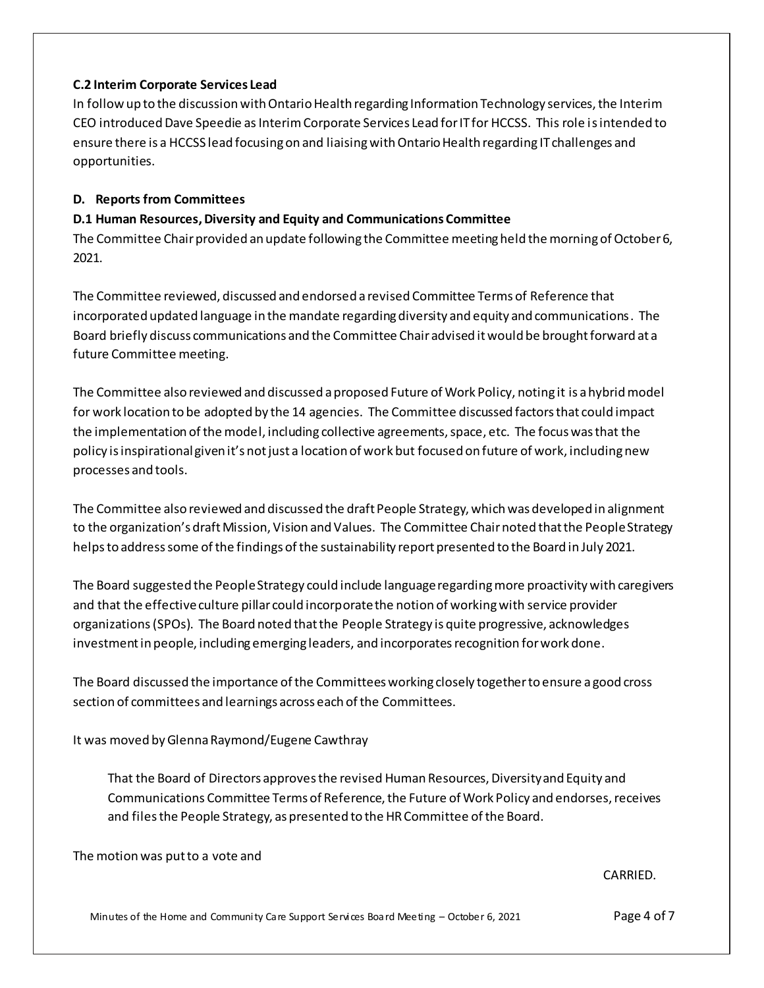#### **C.2 Interim Corporate Services Lead**

In follow up to the discussion with Ontario Health regarding Information Technology services, the Interim CEO introduced Dave Speedie as Interim Corporate Services Lead for IT for HCCSS. This role isintended to ensure there is a HCCSS lead focusing on and liaising with Ontario Health regarding IT challenges and opportunities.

#### **D. Reports from Committees**

### **D.1 Human Resources, Diversity and Equity and Communications Committee**

The Committee Chair provided an update following the Committee meeting held the morning of October 6, 2021.

The Committee reviewed, discussed and endorsed a revised Committee Terms of Reference that incorporated updated language in the mandate regarding diversity and equity and communications. The Board briefly discuss communications and the Committee Chair advised it would be brought forward at a future Committee meeting.

The Committee also reviewed and discussed a proposed Future of Work Policy, noting it is a hybrid model for work location to be adopted by the 14 agencies. The Committee discussed factors that could impact the implementation of the model, including collective agreements, space, etc. The focus was that the policy is inspirational given it's not just a location of work but focused on future of work, including new processes and tools.

The Committee also reviewed and discussed the draft People Strategy, which was developed in alignment to the organization's draft Mission, Vision and Values. The Committee Chair noted that the People Strategy helpsto address some of the findings of the sustainability report presented to the Board in July 2021.

The Board suggested the People Strategy could include language regarding more proactivity with caregivers and that the effective culture pillar could incorporate the notion of working with service provider organizations(SPOs). The Board noted that the People Strategy is quite progressive, acknowledges investment in people, including emerging leaders, and incorporates recognition for work done.

The Board discussed the importance of the Committees working closely together to ensure a good cross section of committees and learnings across each of the Committees.

It was moved by Glenna Raymond/Eugene Cawthray

That the Board of Directors approves the revised Human Resources, Diversity and Equity and Communications Committee Terms of Reference, the Future of Work Policy and endorses, receives and files the People Strategy, as presented to the HR Committee of the Board.

The motion was put to a vote and

CARRIED.

Minutes of the Home and Community Care Support Services Board Meeting – October 6, 2021 Page 4 of 7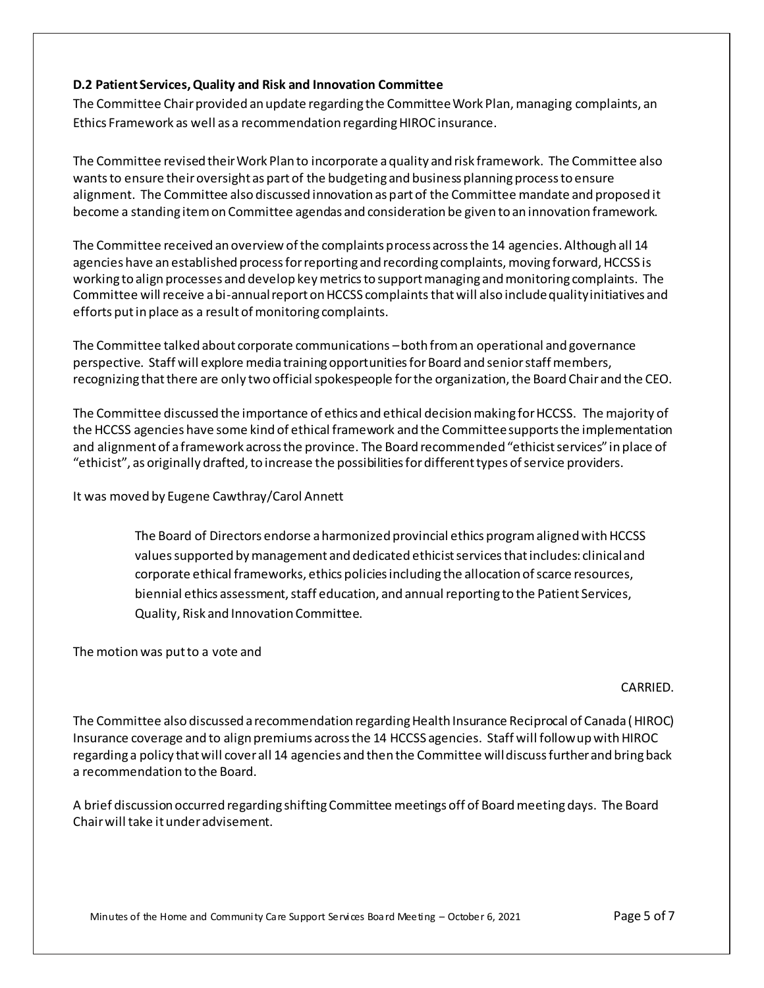#### **D.2 Patient Services, Quality and Risk and Innovation Committee**

The Committee Chair provided an update regarding the Committee Work Plan, managing complaints, an Ethics Framework as well as a recommendation regarding HIROC insurance.

The Committee revised their Work Plan to incorporate a quality and risk framework. The Committee also wants to ensure their oversight as part of the budgeting and business planning process to ensure alignment. The Committee also discussed innovation as part of the Committee mandate and proposed it become a standing item on Committee agendas and consideration be given to an innovation framework.

The Committee received an overview of the complaints process across the 14 agencies. Although all 14 agencies have an established process for reporting and recording complaints, moving forward, HCCSS is working to align processes and develop key metrics to support managing and monitoring complaints. The Committee will receive a bi-annual report on HCCSS complaintsthat will also include quality initiatives and efforts put in place as a result of monitoring complaints.

The Committee talked about corporate communications –both from an operational and governance perspective. Staff will explore media training opportunities for Board and senior staff members, recognizing that there are only two official spokespeople for the organization, the Board Chair and the CEO.

The Committee discussed the importance of ethics and ethical decision making for HCCSS. The majority of the HCCSS agencies have some kind of ethical framework and the Committee supports the implementation and alignment of a framework across the province. The Board recommended "ethicist services" in place of "ethicist", as originally drafted, to increase the possibilities for different types of service providers.

It was moved by Eugene Cawthray/Carol Annett

The Board of Directors endorse a harmonized provincial ethics program aligned with HCCSS values supported by management and dedicated ethicist services that includes: clinical and corporate ethical frameworks, ethics policies including the allocation of scarce resources, biennial ethics assessment, staff education, and annual reporting to the Patient Services, Quality, Risk and Innovation Committee.

The motion was put to a vote and

#### CARRIED.

The Committee also discussed a recommendation regarding Health Insurance Reciprocal of Canada (HIROC) Insurance coverage and to align premiums across the 14 HCCSS agencies. Staff will follow up with HIROC regarding a policy that will cover all 14 agencies and then the Committee will discuss further and bring back a recommendation to the Board.

A brief discussion occurred regarding shifting Committee meetings off of Board meeting days. The Board Chair will take it under advisement.

Minutes of the Home and Community Care Support Services Board Meeting – October 6, 2021 Page 5 of 7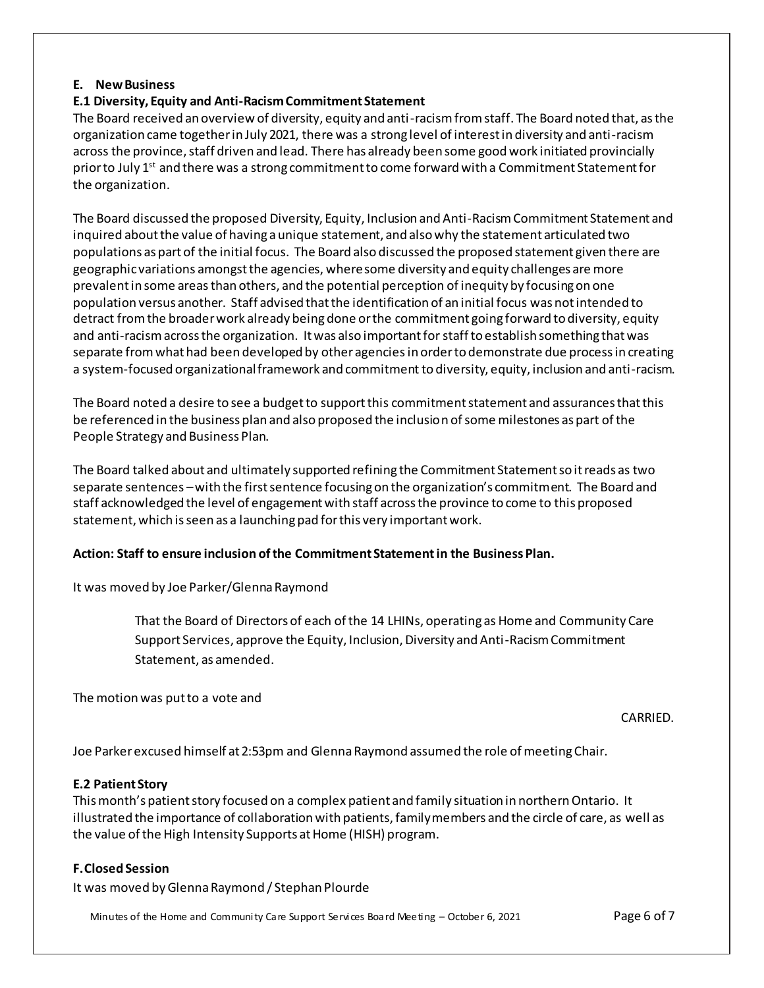#### **E. New Business**

## **E.1 Diversity, Equity and Anti-Racism Commitment Statement**

The Board received an overview of diversity, equity and anti-racismfrom staff. The Board noted that, as the organization came together in July 2021, there was a strong level of interest in diversity and anti-racism across the province, staff driven and lead. There has already been some good work initiated provincially prior to July 1<sup>st</sup> and there was a strong commitment to come forward with a Commitment Statement for the organization.

The Board discussed the proposed Diversity, Equity, Inclusion and Anti-RacismCommitment Statement and inquired about the value of having a unique statement, and also why the statement articulated two populations as part of the initial focus. The Board also discussed the proposed statement given there are geographic variations amongst the agencies, where some diversity and equity challenges are more prevalent in some areasthan others, and the potential perception of inequity by focusing on one population versus another. Staff advised that the identification of an initial focus was not intended to detract from the broader work already being done or the commitment going forward to diversity, equity and anti-racism across the organization. It was also important for staff to establish something that was separate from what had been developed by other agenciesin order to demonstrate due process in creating a system-focused organizational framework and commitment to diversity, equity, inclusion and anti-racism.

The Board noted a desire to see a budget to support this commitment statement and assurances that this be referenced in the business plan and also proposed the inclusion of some milestones as part of the People Strategy and Business Plan.

The Board talked about and ultimately supported refining the Commitment Statement so it reads as two separate sentences –with the first sentence focusing on the organization's commitment. The Board and staff acknowledged the level of engagement with staff across the province to come to this proposed statement, which is seen as a launching pad for this very important work.

#### **Action: Staff to ensure inclusion of the Commitment Statement in the Business Plan.**

It was moved by Joe Parker/GlennaRaymond

That the Board of Directors of each of the 14 LHINs, operating as Home and Community Care Support Services, approve the Equity, Inclusion, Diversity and Anti-Racism Commitment Statement, as amended.

The motion was put to a vote and

#### CARRIED.

Joe Parker excused himself at 2:53pm and Glenna Raymond assumed the role of meeting Chair.

#### **E.2 Patient Story**

This month's patient story focused on a complex patient and family situation in northern Ontario. It illustrated the importance of collaboration with patients, family members and the circle of care, as well as the value of the High Intensity Supports at Home (HISH) program.

#### **F.Closed Session**

It was moved byGlenna Raymond / Stephan Plourde

Minutes of the Home and Community Care Support Services Board Meeting – October 6, 2021 Page 6 of 7